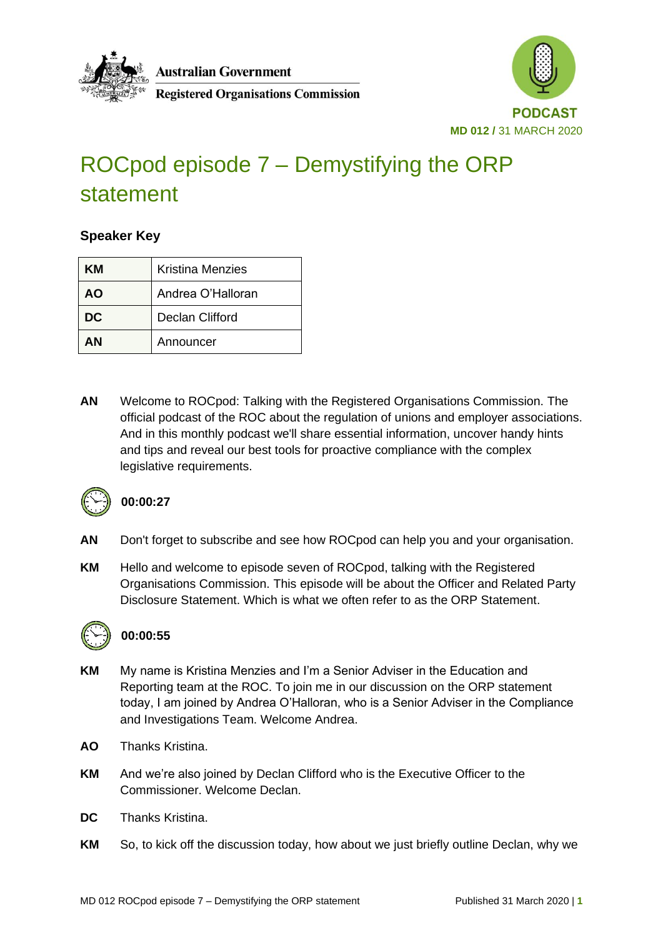

**Australian Government** 





# ROCpod episode 7 – Demystifying the ORP statement

#### **Speaker Key**

| ĸм | <b>Kristina Menzies</b> |
|----|-------------------------|
| AΟ | Andrea O'Halloran       |
| DC | Declan Clifford         |
| ΔN | Announcer               |

**AN** Welcome to ROCpod: Talking with the Registered Organisations Commission. The official podcast of the ROC about the regulation of unions and employer associations. And in this monthly podcast we'll share essential information, uncover handy hints and tips and reveal our best tools for proactive compliance with the complex legislative requirements.



#### **00:00:27**

- **AN** Don't forget to subscribe and see how ROCpod can help you and your organisation.
- **KM** Hello and welcome to episode seven of ROCpod, talking with the Registered Organisations Commission. This episode will be about the Officer and Related Party Disclosure Statement. Which is what we often refer to as the ORP Statement.



#### **00:00:55**

- **KM** My name is Kristina Menzies and I'm a Senior Adviser in the Education and Reporting team at the ROC. To join me in our discussion on the ORP statement today, I am joined by Andrea O'Halloran, who is a Senior Adviser in the Compliance and Investigations Team. Welcome Andrea.
- **AO** Thanks Kristina.
- **KM** And we're also joined by Declan Clifford who is the Executive Officer to the Commissioner. Welcome Declan.
- **DC** Thanks Kristina.
- **KM** So, to kick off the discussion today, how about we just briefly outline Declan, why we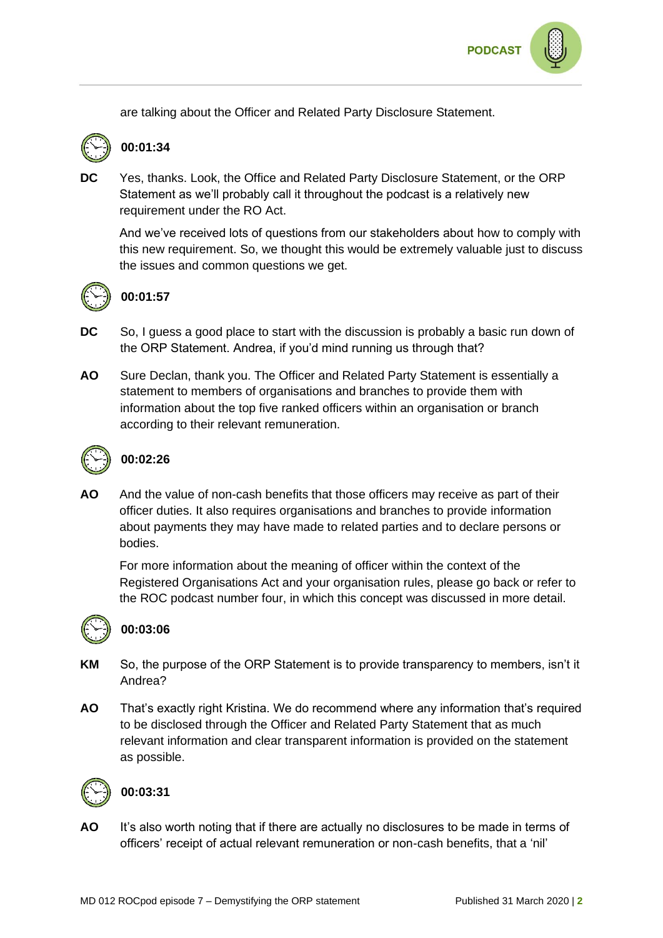

are talking about the Officer and Related Party Disclosure Statement.



## **00:01:34**

**DC** Yes, thanks. Look, the Office and Related Party Disclosure Statement, or the ORP Statement as we'll probably call it throughout the podcast is a relatively new requirement under the RO Act.

And we've received lots of questions from our stakeholders about how to comply with this new requirement. So, we thought this would be extremely valuable just to discuss the issues and common questions we get.



#### **00:01:57**

- **DC** So, I guess a good place to start with the discussion is probably a basic run down of the ORP Statement. Andrea, if you'd mind running us through that?
- **AO** Sure Declan, thank you. The Officer and Related Party Statement is essentially a statement to members of organisations and branches to provide them with information about the top five ranked officers within an organisation or branch according to their relevant remuneration.



## **00:02:26**

**AO** And the value of non-cash benefits that those officers may receive as part of their officer duties. It also requires organisations and branches to provide information about payments they may have made to related parties and to declare persons or bodies.

For more information about the meaning of officer within the context of the Registered Organisations Act and your organisation rules, please go back or refer to the ROC podcast number four, in which this concept was discussed in more detail.



#### **00:03:06**

- **KM** So, the purpose of the ORP Statement is to provide transparency to members, isn't it Andrea?
- **AO** That's exactly right Kristina. We do recommend where any information that's required to be disclosed through the Officer and Related Party Statement that as much relevant information and clear transparent information is provided on the statement as possible.



#### **00:03:31**

**AO** It's also worth noting that if there are actually no disclosures to be made in terms of officers' receipt of actual relevant remuneration or non-cash benefits, that a 'nil'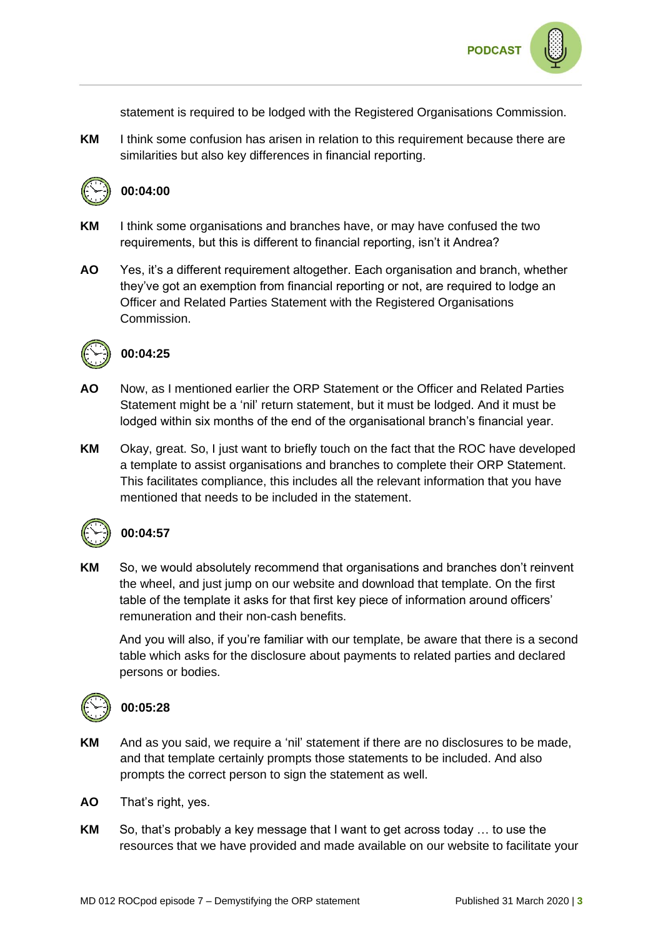statement is required to be lodged with the Registered Organisations Commission.

**KM** I think some confusion has arisen in relation to this requirement because there are similarities but also key differences in financial reporting.



#### **00:04:00**

- **KM** I think some organisations and branches have, or may have confused the two requirements, but this is different to financial reporting, isn't it Andrea?
- **AO** Yes, it's a different requirement altogether. Each organisation and branch, whether they've got an exemption from financial reporting or not, are required to lodge an Officer and Related Parties Statement with the Registered Organisations Commission.



#### **00:04:25**

- **AO** Now, as I mentioned earlier the ORP Statement or the Officer and Related Parties Statement might be a 'nil' return statement, but it must be lodged. And it must be lodged within six months of the end of the organisational branch's financial year.
- **KM** Okay, great. So, I just want to briefly touch on the fact that the ROC have developed a template to assist organisations and branches to complete their ORP Statement. This facilitates compliance, this includes all the relevant information that you have mentioned that needs to be included in the statement.



#### **00:04:57**

**KM** So, we would absolutely recommend that organisations and branches don't reinvent the wheel, and just jump on our website and download that template. On the first table of the template it asks for that first key piece of information around officers' remuneration and their non-cash benefits.

And you will also, if you're familiar with our template, be aware that there is a second table which asks for the disclosure about payments to related parties and declared persons or bodies.



#### **00:05:28**

- **KM** And as you said, we require a 'nil' statement if there are no disclosures to be made, and that template certainly prompts those statements to be included. And also prompts the correct person to sign the statement as well.
- **AO** That's right, yes.
- **KM** So, that's probably a key message that I want to get across today … to use the resources that we have provided and made available on our website to facilitate your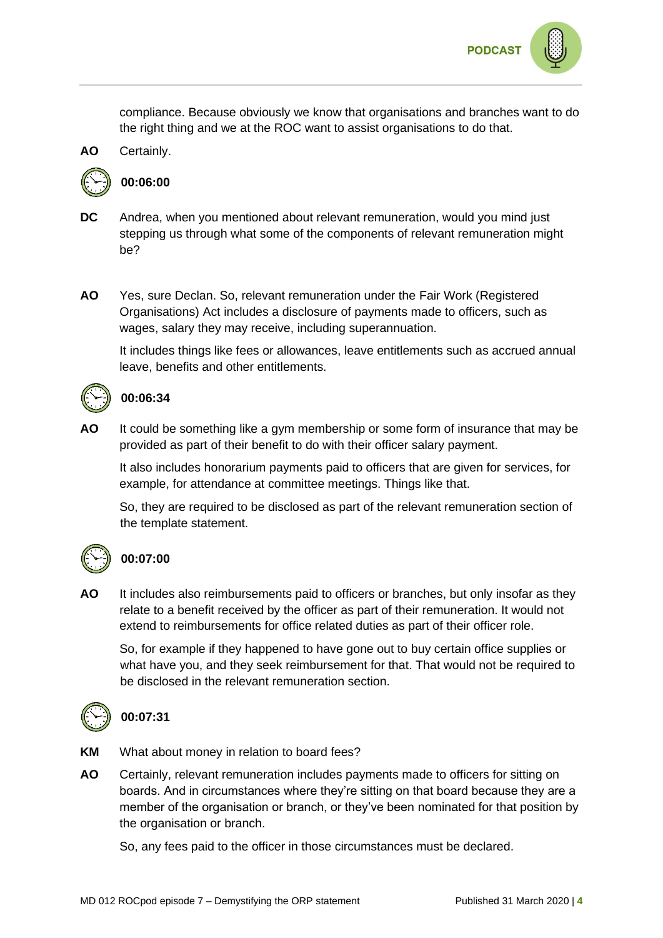

compliance. Because obviously we know that organisations and branches want to do the right thing and we at the ROC want to assist organisations to do that.



#### **00:06:00**

- **DC** Andrea, when you mentioned about relevant remuneration, would you mind just stepping us through what some of the components of relevant remuneration might be?
- **AO** Yes, sure Declan. So, relevant remuneration under the Fair Work (Registered Organisations) Act includes a disclosure of payments made to officers, such as wages, salary they may receive, including superannuation.

It includes things like fees or allowances, leave entitlements such as accrued annual leave, benefits and other entitlements.



#### **00:06:34**

**AO** It could be something like a gym membership or some form of insurance that may be provided as part of their benefit to do with their officer salary payment.

It also includes honorarium payments paid to officers that are given for services, for example, for attendance at committee meetings. Things like that.

So, they are required to be disclosed as part of the relevant remuneration section of the template statement.



#### **00:07:00**

**AO** It includes also reimbursements paid to officers or branches, but only insofar as they relate to a benefit received by the officer as part of their remuneration. It would not extend to reimbursements for office related duties as part of their officer role.

So, for example if they happened to have gone out to buy certain office supplies or what have you, and they seek reimbursement for that. That would not be required to be disclosed in the relevant remuneration section.



## **00:07:31**

**KM** What about money in relation to board fees?

**AO** Certainly, relevant remuneration includes payments made to officers for sitting on boards. And in circumstances where they're sitting on that board because they are a member of the organisation or branch, or they've been nominated for that position by the organisation or branch.

So, any fees paid to the officer in those circumstances must be declared.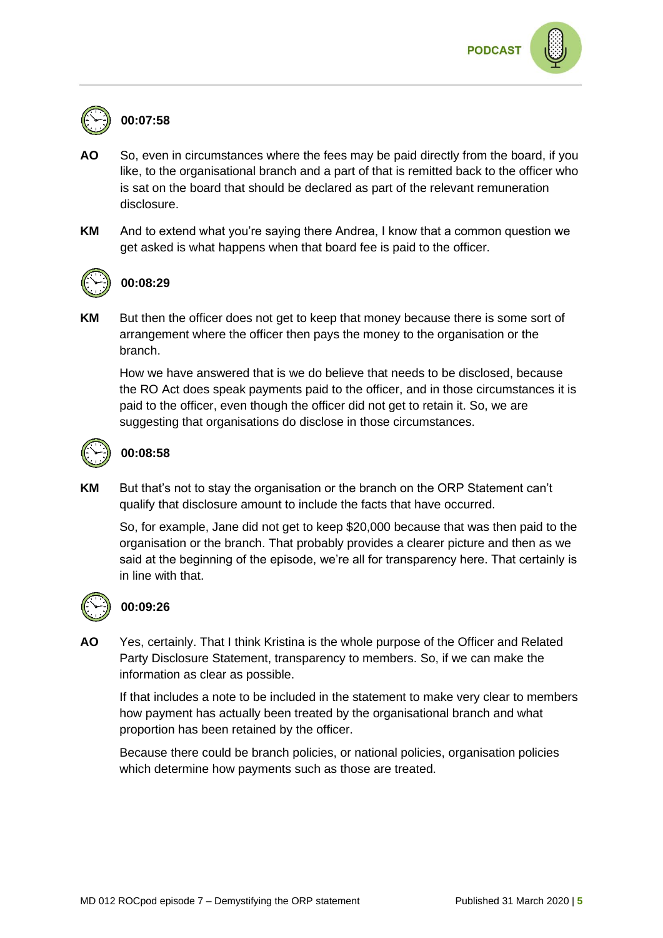

#### **00:07:58**

- **AO** So, even in circumstances where the fees may be paid directly from the board, if you like, to the organisational branch and a part of that is remitted back to the officer who is sat on the board that should be declared as part of the relevant remuneration disclosure.
- **KM** And to extend what you're saying there Andrea, I know that a common question we get asked is what happens when that board fee is paid to the officer.



#### **00:08:29**

**KM** But then the officer does not get to keep that money because there is some sort of arrangement where the officer then pays the money to the organisation or the branch.

How we have answered that is we do believe that needs to be disclosed, because the RO Act does speak payments paid to the officer, and in those circumstances it is paid to the officer, even though the officer did not get to retain it. So, we are suggesting that organisations do disclose in those circumstances.



#### **00:08:58**

**KM** But that's not to stay the organisation or the branch on the ORP Statement can't qualify that disclosure amount to include the facts that have occurred.

So, for example, Jane did not get to keep \$20,000 because that was then paid to the organisation or the branch. That probably provides a clearer picture and then as we said at the beginning of the episode, we're all for transparency here. That certainly is in line with that.



#### **00:09:26**

**AO** Yes, certainly. That I think Kristina is the whole purpose of the Officer and Related Party Disclosure Statement, transparency to members. So, if we can make the information as clear as possible.

If that includes a note to be included in the statement to make very clear to members how payment has actually been treated by the organisational branch and what proportion has been retained by the officer.

Because there could be branch policies, or national policies, organisation policies which determine how payments such as those are treated.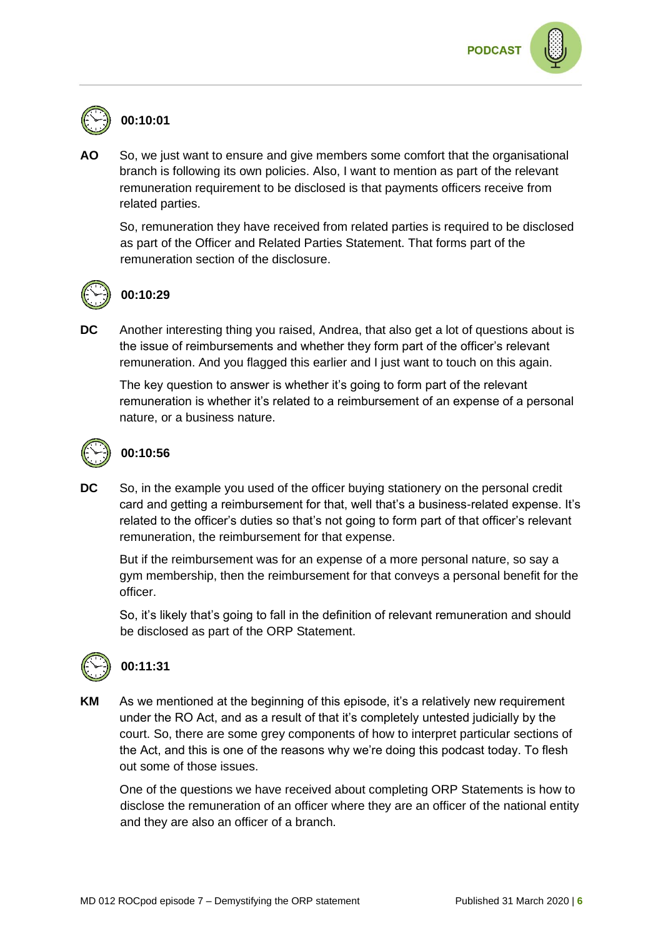## **00:10:01**

**AO** So, we just want to ensure and give members some comfort that the organisational branch is following its own policies. Also, I want to mention as part of the relevant remuneration requirement to be disclosed is that payments officers receive from related parties.

So, remuneration they have received from related parties is required to be disclosed as part of the Officer and Related Parties Statement. That forms part of the remuneration section of the disclosure.



### **00:10:29**

**DC** Another interesting thing you raised, Andrea, that also get a lot of questions about is the issue of reimbursements and whether they form part of the officer's relevant remuneration. And you flagged this earlier and I just want to touch on this again.

The key question to answer is whether it's going to form part of the relevant remuneration is whether it's related to a reimbursement of an expense of a personal nature, or a business nature.



### **00:10:56**

**DC** So, in the example you used of the officer buying stationery on the personal credit card and getting a reimbursement for that, well that's a business-related expense. It's related to the officer's duties so that's not going to form part of that officer's relevant remuneration, the reimbursement for that expense.

But if the reimbursement was for an expense of a more personal nature, so say a gym membership, then the reimbursement for that conveys a personal benefit for the officer.

So, it's likely that's going to fall in the definition of relevant remuneration and should be disclosed as part of the ORP Statement.



## **00:11:31**

**KM** As we mentioned at the beginning of this episode, it's a relatively new requirement under the RO Act, and as a result of that it's completely untested judicially by the court. So, there are some grey components of how to interpret particular sections of the Act, and this is one of the reasons why we're doing this podcast today. To flesh out some of those issues.

One of the questions we have received about completing ORP Statements is how to disclose the remuneration of an officer where they are an officer of the national entity and they are also an officer of a branch.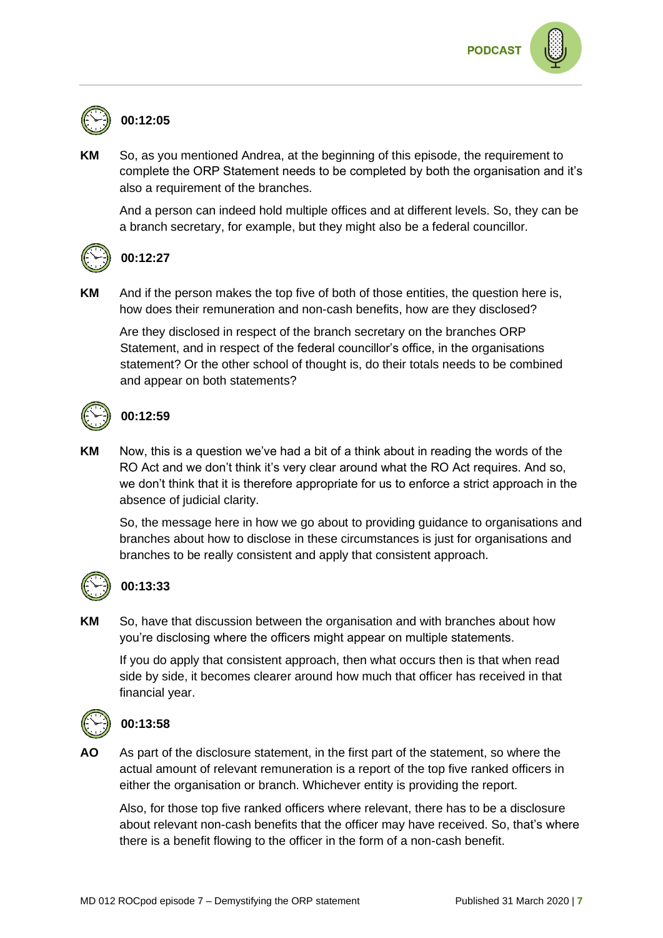

## **00:12:05**

**KM** So, as you mentioned Andrea, at the beginning of this episode, the requirement to complete the ORP Statement needs to be completed by both the organisation and it's also a requirement of the branches.

And a person can indeed hold multiple offices and at different levels. So, they can be a branch secretary, for example, but they might also be a federal councillor.



#### **00:12:27**

**KM** And if the person makes the top five of both of those entities, the question here is, how does their remuneration and non-cash benefits, how are they disclosed?

Are they disclosed in respect of the branch secretary on the branches ORP Statement, and in respect of the federal councillor's office, in the organisations statement? Or the other school of thought is, do their totals needs to be combined and appear on both statements?



### **00:12:59**

**KM** Now, this is a question we've had a bit of a think about in reading the words of the RO Act and we don't think it's very clear around what the RO Act requires. And so, we don't think that it is therefore appropriate for us to enforce a strict approach in the absence of judicial clarity.

So, the message here in how we go about to providing guidance to organisations and branches about how to disclose in these circumstances is just for organisations and branches to be really consistent and apply that consistent approach.



#### **00:13:33**

**KM** So, have that discussion between the organisation and with branches about how you're disclosing where the officers might appear on multiple statements.

If you do apply that consistent approach, then what occurs then is that when read side by side, it becomes clearer around how much that officer has received in that financial year.



#### **00:13:58**

**AO** As part of the disclosure statement, in the first part of the statement, so where the actual amount of relevant remuneration is a report of the top five ranked officers in either the organisation or branch. Whichever entity is providing the report.

Also, for those top five ranked officers where relevant, there has to be a disclosure about relevant non-cash benefits that the officer may have received. So, that's where there is a benefit flowing to the officer in the form of a non-cash benefit.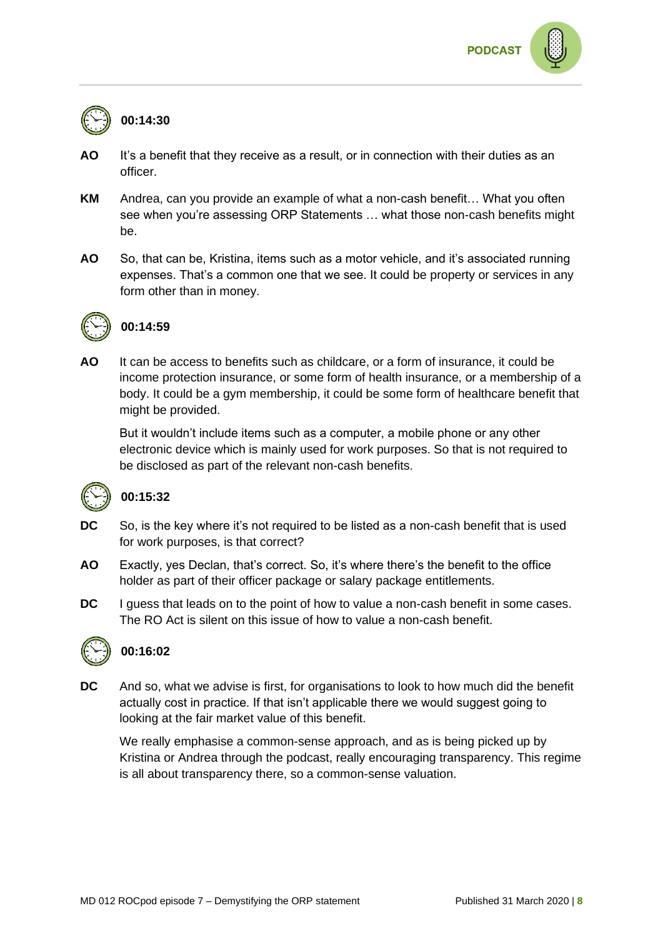



## **00:14:30**

- **AO** It's a benefit that they receive as a result, or in connection with their duties as an officer.
- **KM** Andrea, can you provide an example of what a non-cash benefit… What you often see when you're assessing ORP Statements … what those non-cash benefits might be.
- **AO** So, that can be, Kristina, items such as a motor vehicle, and it's associated running expenses. That's a common one that we see. It could be property or services in any form other than in money.



#### **00:14:59**

**AO** It can be access to benefits such as childcare, or a form of insurance, it could be income protection insurance, or some form of health insurance, or a membership of a body. It could be a gym membership, it could be some form of healthcare benefit that might be provided.

But it wouldn't include items such as a computer, a mobile phone or any other electronic device which is mainly used for work purposes. So that is not required to be disclosed as part of the relevant non-cash benefits.



#### **00:15:32**

- **DC** So, is the key where it's not required to be listed as a non-cash benefit that is used for work purposes, is that correct?
- **AO** Exactly, yes Declan, that's correct. So, it's where there's the benefit to the office holder as part of their officer package or salary package entitlements.
- **DC** I guess that leads on to the point of how to value a non-cash benefit in some cases. The RO Act is silent on this issue of how to value a non-cash benefit.



#### **00:16:02**

**DC** And so, what we advise is first, for organisations to look to how much did the benefit actually cost in practice. If that isn't applicable there we would suggest going to looking at the fair market value of this benefit.

We really emphasise a common-sense approach, and as is being picked up by Kristina or Andrea through the podcast, really encouraging transparency. This regime is all about transparency there, so a common-sense valuation.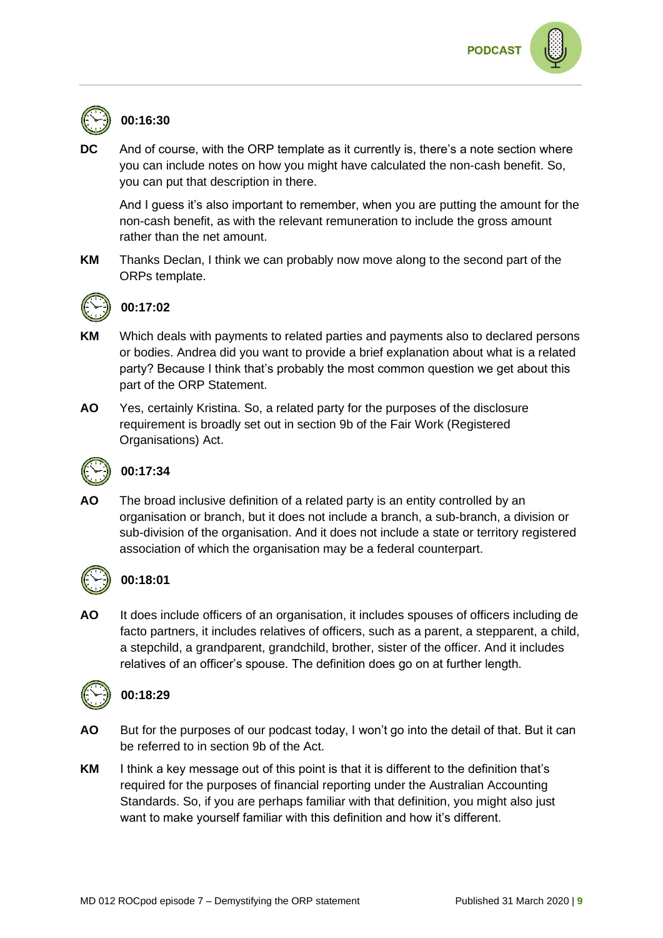

## **00:16:30**

**DC** And of course, with the ORP template as it currently is, there's a note section where you can include notes on how you might have calculated the non-cash benefit. So, you can put that description in there.

And I guess it's also important to remember, when you are putting the amount for the non-cash benefit, as with the relevant remuneration to include the gross amount rather than the net amount.

**KM** Thanks Declan, I think we can probably now move along to the second part of the ORPs template.



## **00:17:02**

- **KM** Which deals with payments to related parties and payments also to declared persons or bodies. Andrea did you want to provide a brief explanation about what is a related party? Because I think that's probably the most common question we get about this part of the ORP Statement.
- **AO** Yes, certainly Kristina. So, a related party for the purposes of the disclosure requirement is broadly set out in section 9b of the Fair Work (Registered Organisations) Act.



## **00:17:34**

**AO** The broad inclusive definition of a related party is an entity controlled by an organisation or branch, but it does not include a branch, a sub-branch, a division or sub-division of the organisation. And it does not include a state or territory registered association of which the organisation may be a federal counterpart.



## **00:18:01**

**AO** It does include officers of an organisation, it includes spouses of officers including de facto partners, it includes relatives of officers, such as a parent, a stepparent, a child, a stepchild, a grandparent, grandchild, brother, sister of the officer. And it includes relatives of an officer's spouse. The definition does go on at further length.



## **00:18:29**

- **AO** But for the purposes of our podcast today, I won't go into the detail of that. But it can be referred to in section 9b of the Act.
- **KM** I think a key message out of this point is that it is different to the definition that's required for the purposes of financial reporting under the Australian Accounting Standards. So, if you are perhaps familiar with that definition, you might also just want to make yourself familiar with this definition and how it's different.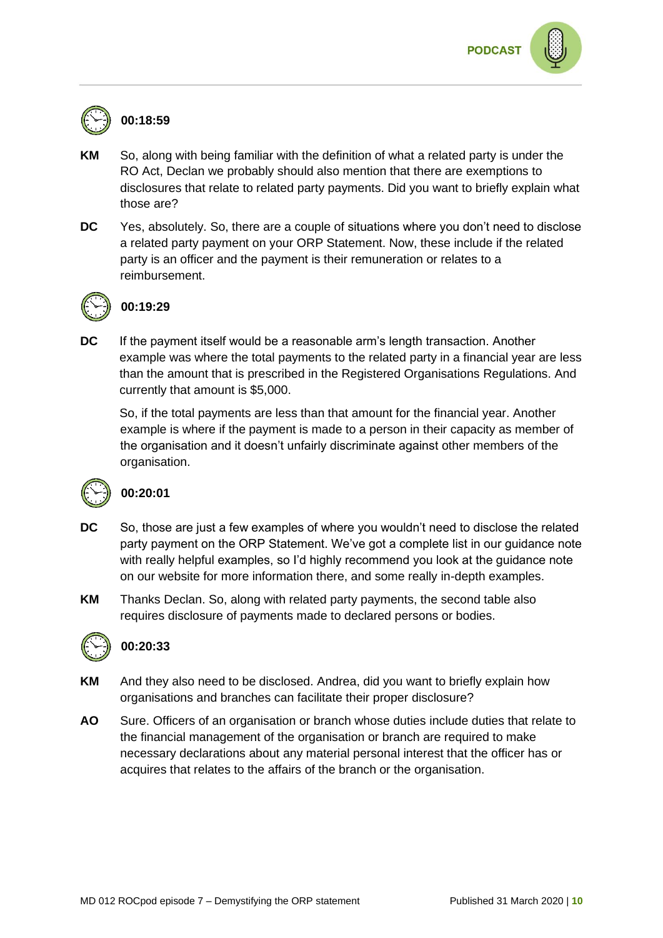

## **00:18:59**

- **KM** So, along with being familiar with the definition of what a related party is under the RO Act, Declan we probably should also mention that there are exemptions to disclosures that relate to related party payments. Did you want to briefly explain what those are?
- **DC** Yes, absolutely. So, there are a couple of situations where you don't need to disclose a related party payment on your ORP Statement. Now, these include if the related party is an officer and the payment is their remuneration or relates to a reimbursement.



## **00:19:29**

**DC** If the payment itself would be a reasonable arm's length transaction. Another example was where the total payments to the related party in a financial year are less than the amount that is prescribed in the Registered Organisations Regulations. And currently that amount is \$5,000.

So, if the total payments are less than that amount for the financial year. Another example is where if the payment is made to a person in their capacity as member of the organisation and it doesn't unfairly discriminate against other members of the organisation.



#### **00:20:01**

- **DC** So, those are just a few examples of where you wouldn't need to disclose the related party payment on the ORP Statement. We've got a complete list in our guidance note with really helpful examples, so I'd highly recommend you look at the guidance note on our website for more information there, and some really in-depth examples.
- **KM** Thanks Declan. So, along with related party payments, the second table also requires disclosure of payments made to declared persons or bodies.



#### **00:20:33**

- **KM** And they also need to be disclosed. Andrea, did you want to briefly explain how organisations and branches can facilitate their proper disclosure?
- **AO** Sure. Officers of an organisation or branch whose duties include duties that relate to the financial management of the organisation or branch are required to make necessary declarations about any material personal interest that the officer has or acquires that relates to the affairs of the branch or the organisation.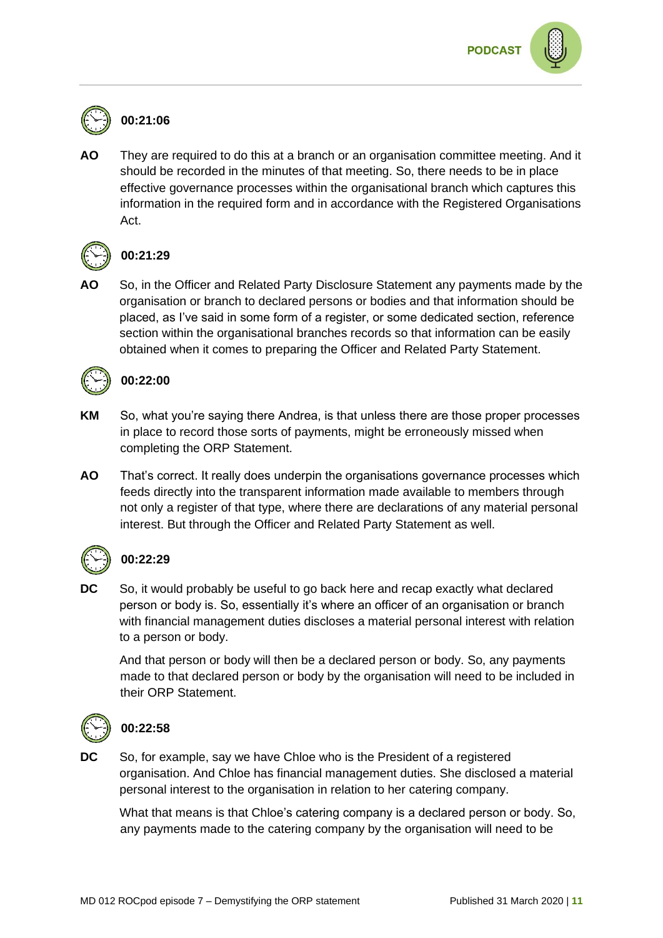## **00:21:06**

**AO** They are required to do this at a branch or an organisation committee meeting. And it should be recorded in the minutes of that meeting. So, there needs to be in place effective governance processes within the organisational branch which captures this information in the required form and in accordance with the Registered Organisations Act.



#### **00:21:29**

**AO** So, in the Officer and Related Party Disclosure Statement any payments made by the organisation or branch to declared persons or bodies and that information should be placed, as I've said in some form of a register, or some dedicated section, reference section within the organisational branches records so that information can be easily obtained when it comes to preparing the Officer and Related Party Statement.



### **00:22:00**

- **KM** So, what you're saying there Andrea, is that unless there are those proper processes in place to record those sorts of payments, might be erroneously missed when completing the ORP Statement.
- **AO** That's correct. It really does underpin the organisations governance processes which feeds directly into the transparent information made available to members through not only a register of that type, where there are declarations of any material personal interest. But through the Officer and Related Party Statement as well.



## **00:22:29**

**DC** So, it would probably be useful to go back here and recap exactly what declared person or body is. So, essentially it's where an officer of an organisation or branch with financial management duties discloses a material personal interest with relation to a person or body.

And that person or body will then be a declared person or body. So, any payments made to that declared person or body by the organisation will need to be included in their ORP Statement.



#### **00:22:58**

**DC** So, for example, say we have Chloe who is the President of a registered organisation. And Chloe has financial management duties. She disclosed a material personal interest to the organisation in relation to her catering company.

What that means is that Chloe's catering company is a declared person or body. So, any payments made to the catering company by the organisation will need to be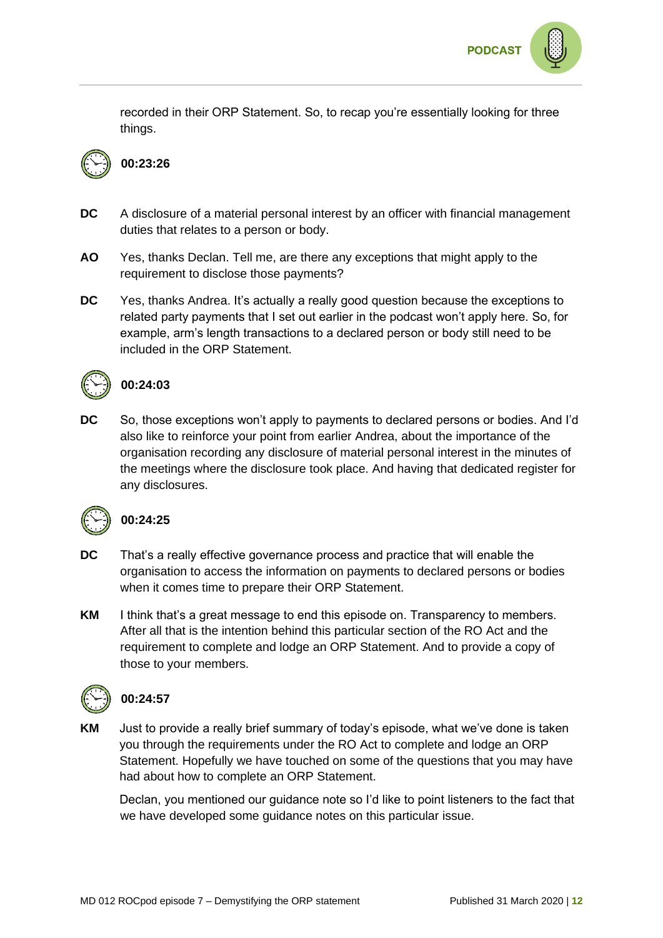

recorded in their ORP Statement. So, to recap you're essentially looking for three things.



## **00:23:26**

- **DC** A disclosure of a material personal interest by an officer with financial management duties that relates to a person or body.
- **AO** Yes, thanks Declan. Tell me, are there any exceptions that might apply to the requirement to disclose those payments?
- **DC** Yes, thanks Andrea. It's actually a really good question because the exceptions to related party payments that I set out earlier in the podcast won't apply here. So, for example, arm's length transactions to a declared person or body still need to be included in the ORP Statement.



#### **00:24:03**

**DC** So, those exceptions won't apply to payments to declared persons or bodies. And I'd also like to reinforce your point from earlier Andrea, about the importance of the organisation recording any disclosure of material personal interest in the minutes of the meetings where the disclosure took place. And having that dedicated register for any disclosures.



#### **00:24:25**

- **DC** That's a really effective governance process and practice that will enable the organisation to access the information on payments to declared persons or bodies when it comes time to prepare their ORP Statement.
- **KM** I think that's a great message to end this episode on. Transparency to members. After all that is the intention behind this particular section of the RO Act and the requirement to complete and lodge an ORP Statement. And to provide a copy of those to your members.



#### **00:24:57**

**KM** Just to provide a really brief summary of today's episode, what we've done is taken you through the requirements under the RO Act to complete and lodge an ORP Statement. Hopefully we have touched on some of the questions that you may have had about how to complete an ORP Statement.

Declan, you mentioned our guidance note so I'd like to point listeners to the fact that we have developed some guidance notes on this particular issue.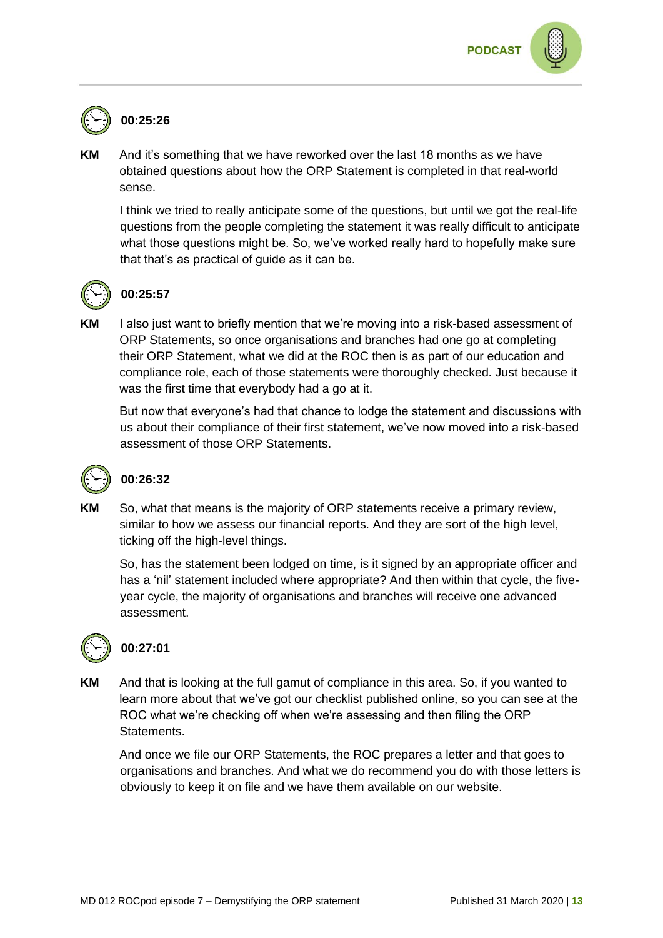



**KM** And it's something that we have reworked over the last 18 months as we have obtained questions about how the ORP Statement is completed in that real-world sense.

I think we tried to really anticipate some of the questions, but until we got the real-life questions from the people completing the statement it was really difficult to anticipate what those questions might be. So, we've worked really hard to hopefully make sure that that's as practical of guide as it can be.



### **00:25:57**

**KM** I also just want to briefly mention that we're moving into a risk-based assessment of ORP Statements, so once organisations and branches had one go at completing their ORP Statement, what we did at the ROC then is as part of our education and compliance role, each of those statements were thoroughly checked. Just because it was the first time that everybody had a go at it.

But now that everyone's had that chance to lodge the statement and discussions with us about their compliance of their first statement, we've now moved into a risk-based assessment of those ORP Statements.



#### **00:26:32**

**KM** So, what that means is the majority of ORP statements receive a primary review, similar to how we assess our financial reports. And they are sort of the high level, ticking off the high-level things.

So, has the statement been lodged on time, is it signed by an appropriate officer and has a 'nil' statement included where appropriate? And then within that cycle, the fiveyear cycle, the majority of organisations and branches will receive one advanced assessment.



## **00:27:01**

**KM** And that is looking at the full gamut of compliance in this area. So, if you wanted to learn more about that we've got our checklist published online, so you can see at the ROC what we're checking off when we're assessing and then filing the ORP Statements.

And once we file our ORP Statements, the ROC prepares a letter and that goes to organisations and branches. And what we do recommend you do with those letters is obviously to keep it on file and we have them available on our website.